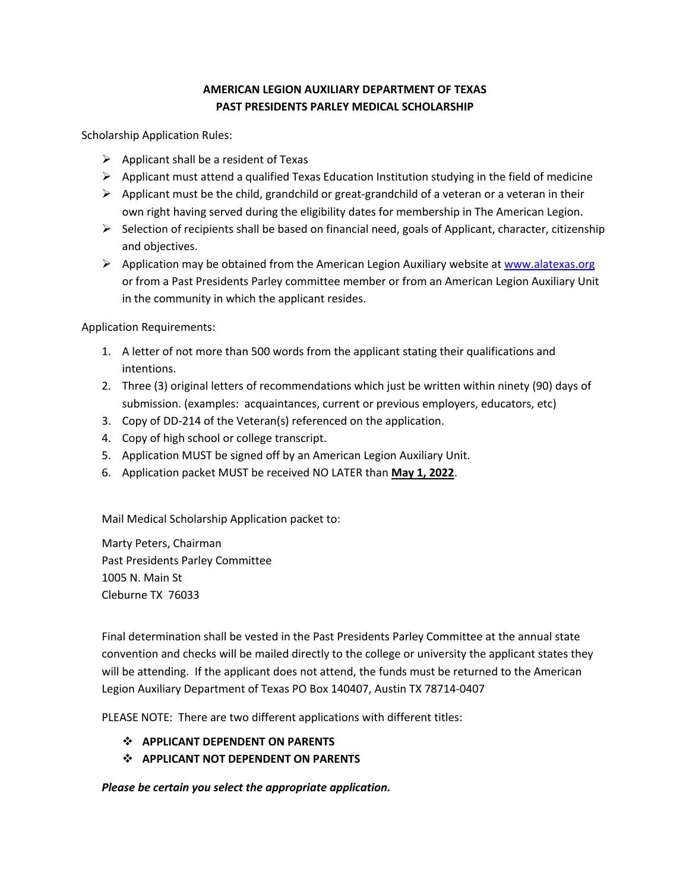## **AMERICAN LEGION AUXILIARY DEPARTMENT OF TEXAS PAST PRESIDENTS PARLEY MEDICAL SCHOLARSHIP**

Scholarship Application Rules:

- $\triangleright$  Applicant shall be a resident of Texas
- $\triangleright$  Applicant must attend a qualified Texas Education Institution studying in the field of medicine
- $\triangleright$  Applicant must be the child, grandchild or great-grandchild of a veteran or a veteran in their own right having served during the eligibility dates for membership in The American Legion.
- $\triangleright$  Selection of recipients shall be based on financial need, goals of Applicant, character, citizenship and objectives.
- $\triangleright$  Application may be obtained from the American Legion Auxiliary website at www.alatexas.org or from a Past Presidents Parley committee member or from an American Legion Auxiliary Unit in the community in which the applicant resides.

Application Requirements:

- 1. A letter of not more than 500 words from the applicant stating their qualifications and intentions.
- 2. Three (3) original letters of recommendations which just be written within ninety (90) days of submission. (examples: acquaintances, current or previous employers, educators, etc)
- 3. Copy of DD-214 of the Veteran(s) referenced on the application.
- 4. Copy of high school or college transcript.
- 5. Application MUST be signed off by an American Legion Auxiliary Unit.
- 6. Application packet MUST be received NO LATER than **May 1, 2022**.

Mail Medical Scholarship Application packet to:

Marty Peters, Chairman Past Presidents Parley Committee 1005 N. Main St Cleburne TX 76033

Final determination shall be vested in the Past Presidents Parley Committee at the annual state convention and checks will be mailed directly to the college or university the applicant states they will be attending. If the applicant does not attend, the funds must be returned to the American Legion Auxiliary Department of Texas PO Box 140407, Austin TX 78714-0407

PLEASE NOTE: There are two different applications with different titles:

- v **APPLICANT DEPENDENT ON PARENTS**
- v **APPLICANT NOT DEPENDENT ON PARENTS**

*Please be certain you select the appropriate application.*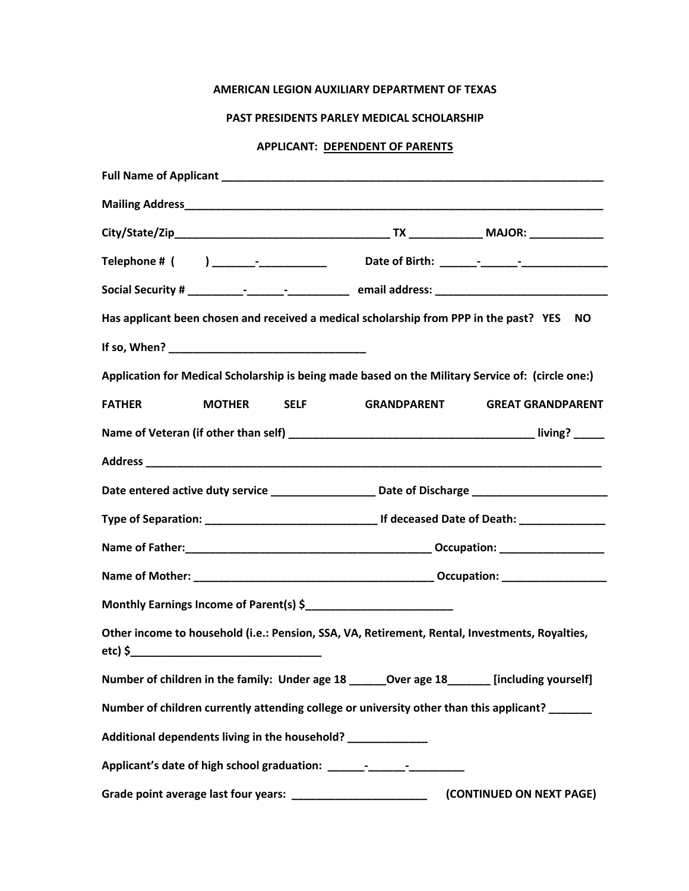## **AMERICAN LEGION AUXILIARY DEPARTMENT OF TEXAS**

## **PAST PRESIDENTS PARLEY MEDICAL SCHOLARSHIP**

## **APPLICANT: DEPENDENT OF PARENTS**

|               |  |                    |                                                              | Has applicant been chosen and received a medical scholarship from PPP in the past? YES NO           |  |
|---------------|--|--------------------|--------------------------------------------------------------|-----------------------------------------------------------------------------------------------------|--|
|               |  |                    |                                                              |                                                                                                     |  |
|               |  |                    |                                                              | Application for Medical Scholarship is being made based on the Military Service of: (circle one:)   |  |
| <b>FATHER</b> |  | <b>MOTHER</b> SELF | <b>GRANDPARENT</b>                                           | <b>GREAT GRANDPARENT</b>                                                                            |  |
|               |  |                    |                                                              |                                                                                                     |  |
|               |  |                    |                                                              |                                                                                                     |  |
|               |  |                    |                                                              | Date entered active duty service ____________________ Date of Discharge ___________________________ |  |
|               |  |                    |                                                              |                                                                                                     |  |
|               |  |                    |                                                              |                                                                                                     |  |
|               |  |                    |                                                              |                                                                                                     |  |
|               |  |                    |                                                              |                                                                                                     |  |
|               |  |                    |                                                              | Other income to household (i.e.: Pension, SSA, VA, Retirement, Rental, Investments, Royalties,      |  |
|               |  |                    |                                                              | Number of children in the family: Under age 18 ________Over age 18 ________ [including yourself]    |  |
|               |  |                    |                                                              | Number of children currently attending college or university other than this applicant? ______      |  |
|               |  |                    | Additional dependents living in the household? _____________ |                                                                                                     |  |
|               |  |                    |                                                              |                                                                                                     |  |
|               |  |                    |                                                              | (CONTINUED ON NEXT PAGE)                                                                            |  |